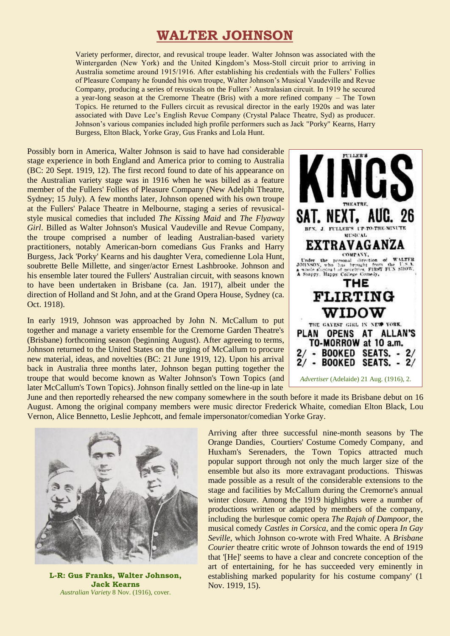## **WALTER JOHNSON**

Variety performer, director, and revusical troupe leader. Walter Johnson was associated with the Wintergarden (New York) and the United Kingdom's Moss-Stoll circuit prior to arriving in Australia sometime around 1915/1916. After establishing his credentials with the Fullers' Follies of Pleasure Company he founded his own troupe, Walter Johnson's Musical Vaudeville and Revue Company, producing a series of revusicals on the Fullers' Australasian circuit. In 1919 he secured a year-long season at the Cremorne Theatre (Bris) with a more refined company – The Town Topics. He returned to the Fullers circuit as revusical director in the early 1920s and was later associated with Dave Lee's English Revue Company (Crystal Palace Theatre, Syd) as producer. Johnson's various companies included high profile performers such as Jack "Porky" Kearns, Harry Burgess, Elton Black, Yorke Gray, Gus Franks and Lola Hunt.

Possibly born in America, Walter Johnson is said to have had considerable stage experience in both England and America prior to coming to Australia (BC: 20 Sept. 1919, 12). The first record found to date of his appearance on the Australian variety stage was in 1916 when he was billed as a feature member of the Fullers' Follies of Pleasure Company (New Adelphi Theatre, Sydney; 15 July). A few months later, Johnson opened with his own troupe at the Fullers' Palace Theatre in Melbourne, staging a series of revusicalstyle musical comedies that included *The Kissing Maid* and *The Flyaway Girl*. Billed as Walter Johnson's Musical Vaudeville and Revue Company, the troupe comprised a number of leading Australian-based variety practitioners, notably American-born comedians Gus Franks and Harry Burgess, Jack 'Porky' Kearns and his daughter Vera, comedienne Lola Hunt, soubrette Belle Millette, and singer/actor Ernest Lashbrooke. Johnson and his ensemble later toured the Fullers' Australian circuit, with seasons known to have been undertaken in Brisbane (ca. Jan. 1917), albeit under the direction of Holland and St John, and at the Grand Opera House, Sydney (ca. Oct. 1918).

In early 1919, Johnson was approached by John N. McCallum to put together and manage a variety ensemble for the Cremorne Garden Theatre's (Brisbane) forthcoming season (beginning August). After agreeing to terms, Johnson returned to the United States on the urging of McCallum to procure new material, ideas, and novelties (BC: 21 June 1919, 12). Upon his arrival back in Australia three months later, Johnson began putting together the troupe that would become known as Walter Johnson's Town Topics (and later McCallum's Town Topics). Johnson finally settled on the line-up in late



June and then reportedly rehearsed the new company somewhere in the south before it made its Brisbane debut on 16 August. Among the original company members were music director Frederick Whaite, comedian Elton Black, Lou Vernon, Alice Bennetto, Leslie Jephcott, and female impersonator/comedian Yorke Gray.



**L-R: Gus Franks, Walter Johnson, Jack Kearns** *Australian Variety* 8 Nov. (1916), cover.

Arriving after three successful nine-month seasons by The Orange Dandies, Courtiers' Costume Comedy Company, and Huxham's Serenaders, the Town Topics attracted much popular support through not only the much larger size of the ensemble but also its more extravagant productions. Thiswas made possible as a result of the considerable extensions to the stage and facilities by McCallum during the Cremorne's annual winter closure. Among the 1919 highlights were a number of productions written or adapted by members of the company, including the burlesque comic opera *The Rajah of Dampoor*, the musical comedy *Castles in Corsica*, and the comic opera *In Gay Seville*, which Johnson co-wrote with Fred Whaite. A *Brisbane Courier* theatre critic wrote of Johnson towards the end of 1919 that '[He]' seems to have a clear and concrete conception of the art of entertaining, for he has succeeded very eminently in establishing marked popularity for his costume company' (1 Nov. 1919, 15).